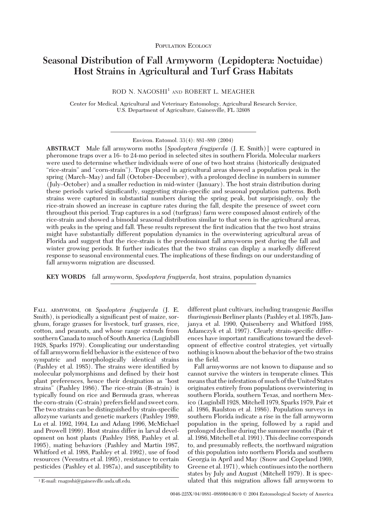# **Seasonal Distribution of Fall Armyworm (Lepidoptera: Noctuidae) Host Strains in Agricultural and Turf Grass Habitats**

ROD N. NAGOSHI<sup>1</sup> AND ROBERT L. MEAGHER

Center for Medical, Agricultural and Veterinary Entomology, Agricultural Research Service, U.S. Department of Agriculture, Gainesville, FL 32608

Environ. Entomol. 33(4): 881-889 (2004)

**ABSTRACT** Male fall armyworm moths[*Spodoptera frugiperda* (J. E. Smith)] were captured in pheromone traps over a 16- to 24-mo period in selected sites in southern Florida. Molecular markers were used to determine whether individuals were of one of two host strains (historically designated "rice-strain" and "corn-strain"). Traps placed in agricultural areas showed a population peak in the spring (March–May) and fall (October–December), with a prolonged decline in numbers in summer (July–October) and a smaller reduction in mid-winter (January). The host strain distribution during these periods varied significantly, suggesting strain-specific and seasonal population patterns. Both strains were captured in substantial numbers during the spring peak, but surprisingly, only the rice-strain showed an increase in capture rates during the fall, despite the presence of sweet corn throughout this period. Trap captures in a sod (turfgrass) farm were composed almost entirely of the rice-strain and showed a bimodal seasonal distribution similar to that seen in the agricultural areas, with peaks in the spring and fall. These results represent the first indication that the two host strains might have substantially different population dynamics in the overwintering agricultural areas of Florida and suggest that the rice-strain is the predominant fall armyworm pest during the fall and winter growing periods. It further indicates that the two strains can display a markedly different response to seasonal environmental cues. The implications of these findings on our understanding of fall armyworm migration are discussed.

**KEY WORDS** fall armyworm, *Spodoptera frugiperda*, host strains, population dynamics

FALL ARMYWORM, OR *Spodoptera frugiperda* (J. E. Smith), is periodically a significant pest of maize, sorghum, forage grasses for livestock, turf grasses, rice, cotton, and peanuts, and whose range extends from southern Canada to much of South America (Luginbill 1928, Sparks1979). Complicating our understanding of fall armyworm field behavior is the existence of two sympatric and morphologically identical strains (Pashley et al. 1985). The strains were identified by molecular polymorphisms and defined by their host plant preferences, hence their designation as "host strains" (Pashley 1986). The rice-strain (R-strain) is typically found on rice and Bermuda grass, whereas the corn-strain (C-strain) prefers field and sweet corn. The two strains can be distinguished by strain-specific allozyme variants and genetic markers (Pashley 1989, Lu et al. 1992, 1994, Lu and Adang 1996, McMichael and Prowell 1999). Host strains differ in larval development on host plants (Pashley 1988, Pashley et al. 1995), mating behaviors(Pashley and Martin 1987, Whitford et al. 1988, Pashley et al. 1992), use of food resources (Veenstra et al. 1995), resistance to certain pesticides (Pashley et al. 1987a), and susceptibility to

different plant cultivars, including transgenic *Bacillus thuringiensis*Berliner plants(Pashley et al. 1987b, Jamjanya et al. 1990, Quisenberry and Whitford 1988, Adamczyk et al. 1997). Clearly strain-specific differences have important ramifications toward the development of effective control strategies, yet virtually nothing isknown about the behavior of the two strains in the field.

Fall armyworms are not known to diapause and so cannot survive the winters in temperate climes. This means that the infestation of much of the United States originates entirely from populations overwintering in southern Florida, southern Texas, and northern Mexico (Luginbill 1928, Mitchell 1979, Sparks 1979, Pair et al. 1986, Raulston et al. 1986). Population surveys in southern Florida indicate a rise in the fall armyworm population in the spring, followed by a rapid and prolonged decline during the summer months (Pair et al. 1986,Mitchell et al. 1991). Thisdecline corresponds to, and presumably reßects, the northward migration of this population into northern Florida and southern Georgia in April and May (Snow and Copeland 1969, Greene et al. 1971), which continuesinto the northern states by July and August (Mitchell 1979). It is spec- <sup>1</sup> E-mail: rnagoshi@gainesville.usda.ufl.edu. ulated that this migration allows fall armyworm to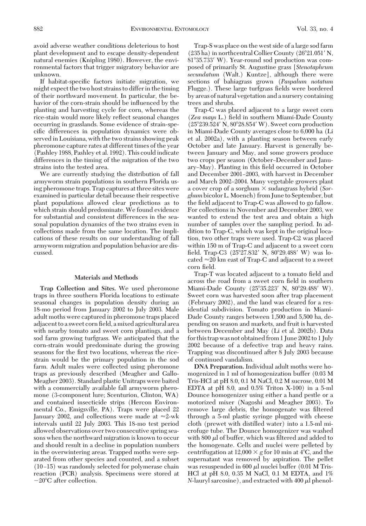avoid adverse weather conditions deleterious to host plant development and to escape density-dependent natural enemies (Knipling 1980). However, the environmental factors that trigger migratory behavior are unknown.

If habitat-specific factors initiate migration, we might expect the two host strains to differ in the timing of their northward movement. In particular, the behavior of the corn-strain should be inßuenced by the planting and harvesting cycle for corn, whereas the rice-stain would more likely reßect seasonal changes occurring in grasslands. Some evidence of strain-specific differences in population dynamics were observed in Louisiana, with the two strains showing peak pheromone capture rates at different times of the year (Pashley 1988, Pashley et al. 1992). This could indicate differences in the timing of the migration of the two strains into the tested area.

We are currently studying the distribution of fall armyworm strain populations in southern Florida using pheromone traps. Trap captures at three sites were examined in particular detail because their respective plant populations allowed clear predictions as to which strain should predominate. We found evidence for substantial and consistent differences in the seasonal population dynamics of the two strains even in collections made from the same location. The implications of these results on our understanding of fall armyworm migration and population behavior are discussed.

#### **Materials and Methods**

**Trap Collection and Sites.** We used pheromone traps in three southern Florida locations to estimate seasonal changes in population density during an 18-mo period from January 2002 to July 2003. Male adult moths were captured in pheromone traps placed adjacent to a sweet corn field, a mixed agricultural area with nearby tomato and sweet corn plantings, and a sod farm growing turfgrass. We anticipated that the corn-strain would predominate during the growing seasons for the first two locations, whereas the ricestrain would be the primary population in the sod farm. Adult males were collected using pheromone traps as previously described (Meagher and Gallo-Meagher 2003). Standard plastic Unitraps were baited with a commercially available fall armyworm pheromone (3-component lure; Scenturion, Clinton, WA) and contained insecticide strips (Hercon Environmental Co., Emigsville, PA). Traps were placed 22 January 2002, and collections were made at  $\approx$ 2-wk intervals until 22 July 2003. This 18-mo test period allowed observations over two consecutive spring seasons when the northward migration is known to occur and should result in a decline in population numbers in the overwintering areas. Trapped moths were separated from other species and counted, and a subset  $(10-15)$  was randomly selected for polymerase chain reaction (PCR) analysis. Specimens were stored at  $-20^{\circ}$ C after collection.

Trap-S was place on the west side of a large sod farm  $(235 ha)$  in northcentral Collier County  $(26°21.051' N,$ 8135.733 W). Year-round sod production was composed of primarily St. Augustine grass [*Stenotaphrum secundatum* (Walt.) Kuntze], although there were sections of bahiagrass grown (*Paspalum notatum* Flugge.). These large turfgrass fields were bordered by areas of natural vegetation and a nursery containing trees and shrubs.

Trap-C was placed adjacent to a large sweet corn (*Zea mays* L.) Þeld in southern Miami-Dade County  $(25^{\circ}239.524' N, 80^{\circ}28.854' W)$ . Sweet corn production in Miami-Dade County averages close to 6,000 ha (Li et al. 2002a), with a planting season between early October and late January. Harvest is generally between January and May, and some growers produce two crops per season (October–December and January–May). Planting in this field occurred in October and December 2001-2003, with harvest in December and March 2002–2004. Many vegetable growers plant a cover crop of a sorghum  $\times$  sudangrass hybrid (*Sorghum* bicolor L.Moench) from June to September, but the field adjacent to Trap-C was allowed to go fallow. For collections in November and December 2003, we wanted to extend the test area and obtain a high number of samples over the sampling period. In addition to Trap-C, which was kept in the original location, two other traps were used. Trap-C2 was placed within 150 m of Trap-C and adjacent to a sweet corn field. Trap-C3 (25°27.832' N, 80°29.488' W) was located  $\approx$  20 km east of Trap-C and adjacent to a sweet corn field.

Trap-T was located adjacent to a tomato field and across the road from a sweet corn field in southern Miami-Dade County (25°35.223' N, 80°29.488' W). Sweet corn was harvested soon after trap placement (February 2002), and the land was cleared for a residential subdivision. Tomato production in Miami-Dade County ranges between 1,500 and 5,500 ha, depending on season and markets, and fruit is harvested between December and May (Li et al. 2002b). Data for thistrap wasnot obtained from 1 June 2002 to 1 July 2002 because of a defective trap and heavy rains. Trapping was discontinued after 8 July 2003 because of continued vandalism.

**DNA Preparation.** Individual adult mothswere homogenized in 1 ml of homogenization buffer (0.03 M Tris-HCl at pH 8.0, 0.1 M NaCl, 0.2 M sucrose, 0.01 M EDTA at pH 8.0, and 0.5% Triton X-100) in a 5-ml Dounce homogenizer using either a hand pestle or a motorized mixer (Nagoshi and Meagher 2003). To remove large debris, the homogenate was filtered through a 5-ml plastic syringe plugged with cheese cloth (prewet with distilled water) into a 1.5-ml microfuge tube. The Dounce homogenizer was washed with  $800 \mu l$  of buffer, which was filtered and added to the homogenate. Cells and nuclei were pelleted by centrifugation at  $12,000 \times g$  for 10 min at 4<sup>o</sup>C, and the supernatant was removed by aspiration. The pellet was resuspended in 600  $\mu$ l nuclei buffer (0.01 M Tris-HCl at pH 8.0, 0.35 M NaCl, 0.1 M EDTA, and 1%  $N$ -lauryl sarcosine), and extracted with 400  $\mu$ l phenol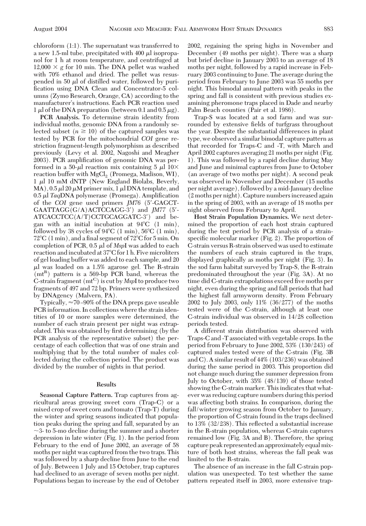chloroform (1:1). The supernatant was transferred to a new 1.5-ml tube, precipitated with 400  $\mu$ l isopropanol for 1 h at room temperature, and centrifuged at  $12,000 \times g$  for 10 min. The DNA pellet was washed with 70% ethanol and dried. The pellet was resuspended in 50  $\mu$  of distilled water, followed by purification using DNA Clean and Concentrator-5 columns(Zymo Research, Orange, CA) according to the manufacturer's instructions. Each PCR reaction used 1  $\mu$ l of the DNA preparation (between 0.1 and 0.5  $\mu$ g).

**PCR Analysis.** To determine strain identity from individual moths, genomic DNA from a randomly selected subset  $(n \geq 10)$  of the captured samples was tested by PCR for the mitochondrial *COI* gene restriction fragment-length polymorphism as described previously (Levy et al. 2002, Nagoshi and Meagher 2003). PCR amplification of genomic DNA was performed in a 50- $\mu$ l reaction mix containing 5  $\mu$ l 10 $\times$ reaction buffer with  $MgCl<sub>2</sub>$  (Promega, Madison, WI),  $1 \mu l$  10 mM dNTP (New England Biolabs, Beverly, MA),  $0.5 \mu$ l 20  $\mu$ M primer mix, 1  $\mu$ l DNA template, and 0.5 µ *Taq*DNA polymerase (Promega). Amplification of the *COI* gene used primers *JM76* (5-GAGCT-GAATTAGG(G/A)ACTCCAGG-3) and *JM77* (5- ATCACCTCC(A/T)CCTGCAGGATC-3) and began with an initial incubation at 94C (1 min), followed by 38 cycles of  $94^{\circ}C$  (1 min),  $56^{\circ}C$  (1 min),  $72^{\circ}$ C (1 min), and a final segment of  $72^{\circ}$ C for 5 min. On completion of PCR,  $0.5 \mu$  of *MspI* was added to each reaction and incubated at 37°C for 1 h. Five microliters of gel loading buffer wasadded to each sample, and 20  $\mu$ l was loaded on a 1.5% agarose gel. The R-strain  $(mt<sup>R</sup>)$  pattern is a 569-bp PCR band, whereas the C-strain fragment (mt<sup>C</sup>) is cut by *MspI* to produce two fragmentsof 497 and 72 bp. Primerswere synthesized by DNAgency (Malvern, PA).

Typically,  $\approx$  70-90% of the DNA preps gave useable PCR information. In collections where the strain identities of 10 or more samples were determined, the number of each strain present per night was extrapolated. This was obtained by first determining (by the PCR analysis of the representative subset) the percentage of each collection that was of one strain and multiplying that by the total number of males collected during the collection period. The product was divided by the number of nights in that period.

## **Results**

**Seasonal Capture Pattern.** Trap captures from agricultural areas growing sweet corn (Trap-C) or a mixed crop of sweet corn and tomato (Trap-T) during the winter and spring seasons indicated that population peaks during the spring and fall, separated by an  $\sim$ 3- to 5-mo decline during the summer and a shorter depression in late winter (Fig. 1). In the period from February to the end of June 2002, an average of 58 moths per night was captured from the two traps. This wasfollowed by a sharp decline from June to the end of July. Between 1 July and 15 October, trap captures had declined to an average of seven moths per night. Populations began to increase by the end of October

2002, regaining the spring highs in November and December (49 moths per night). There was a sharp but brief decline in January 2003 to an average of 18 moths per night, followed by a rapid increase in February 2003 continuing to June. The average during the period from February to June 2003 was 55 moths per night. This bimodal annual pattern with peaks in the spring and fall is consistent with previous studies examining pheromone traps placed in Dade and nearby Palm Beach counties (Pair et al. 1986).

Trap-S was located at a sod farm and was surrounded by extensive fields of turfgrass throughout the year. Despite the substantial differences in plant type, we observed a similar bimodal capture pattern as that recorded for Traps-C and -T, with March and April 2002 captures averaging 21 moths per night (Fig. 1). Thiswasfollowed by a rapid decline during May and June and minimal captures from June to October (an average of two moths per night). A second peak was observed in November and December (15 moths per night average), followed by a mid-January decline (2 mothsper night). Capture numbersincreased again in the spring of 2003, with an average of 18 moths per night observed from February to April.

**Host Strain Population Dynamics.** We next determined the proportion of each host strain captured during the test period by PCR analysis of a strainspecific molecular marker (Fig. 2). The proportion of C-strain versus R-strain observed was used to estimate the numbers of each strain captured in the traps, displayed graphically as moths per night (Fig. 3). In the sod farm habitat surveyed by Trap-S, the R-strain predominated throughout the year (Fig. 3A). At no time did C-strain extrapolations exceed five moths per night, even during the spring and fall periods that had the highest fall armyworm density. From February 2002 to July 2003, only 11% (36/277) of the moths tested were of the C-strain, although at least one C-strain individual was observed in 14/28 collection periods tested.

A different strain distribution was observed with Traps-C and -T associated with vegetable crops. In the period from February to June 2002, 53% (130/243) of captured males tested were of the C-strain (Fig. 3B and C). A similar result of 44% (103/236) was obtained during the same period in 2003. This proportion did not change much during the summer depression from July to October, with 35% (48/139) of those tested showing the C-strain marker. This indicates that whatever was reducing capture numbers during this period was affecting both strains. In comparison, during the fall/winter growing season from October to January, the proportion of C-strain found in the traps declined to 13% (32/238). This reßected a substantial increase in the R-strain population, whereas C-strain captures remained low (Fig. 3A and B). Therefore, the spring capture peak represented an approximately equal mixture of both host strains, whereas the fall peak was limited to the R-strain.

The absence of an increase in the fall C-strain population was unexpected. To test whether the same pattern repeated itself in 2003, more extensive trap-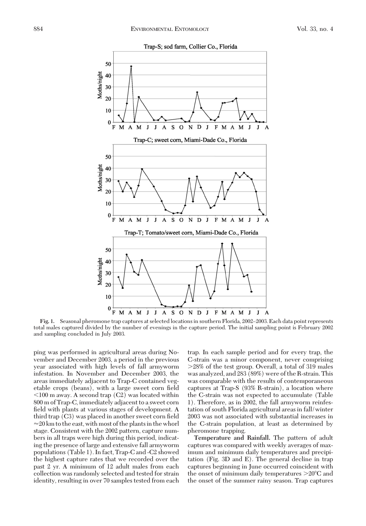

Fig. 1. Seasonal pheromone trap captures at selected locations in southern Florida, 2002–2003. Each data point represents total males captured divided by the number of evenings in the capture period. The initial sampling point is February 2002 and sampling concluded in July 2003.

ping was performed in agricultural areas during November and December 2003, a period in the previous year associated with high levels of fall armyworm infestation. In November and December 2003, the areasimmediately adjacent to Trap-C contained vegetable crops (beans), with a large sweet corn field  $100$  m away. A second trap  $(C2)$  was located within 800 m of Trap-C, immediately adjacent to a sweet corn field with plants at various stages of development. A third trap (C3) was placed in another sweet corn field  $\approx$  20 km to the east, with most of the plants in the whorl stage. Consistent with the 2002 pattern, capture numbers in all traps were high during this period, indicating the presence of large and extensive fall armyworm populations(Table 1). In fact, Trap-C and -C2 showed the highest capture rates that we recorded over the past 2 yr. A minimum of 12 adult males from each collection was randomly selected and tested for strain identity, resulting in over 70 samples tested from each trap. In each sample period and for every trap, the C-strain was a minor component, never comprising 28% of the test group. Overall, a total of 319 males wasanalyzed, and 283 (89%) were of the R-strain. This was comparable with the results of contemporaneous captures at Trap-S (93% R-strain), a location where the C-strain was not expected to accumulate (Table 1). Therefore, as in 2002, the fall armyworm reinfestation of south Florida agricultural areas in fall/winter 2003 was not associated with substantial increases in the C-strain population, at least as determined by pheromone trapping.

**Temperature and Rainfall.** The pattern of adult captures was compared with weekly averages of maximum and minimum daily temperatures and precipitation (Fig. 3D and E). The general decline in trap captures beginning in June occurred coincident with the onset of minimum daily temperatures  $>20^{\circ}$ C and the onset of the summer rainy season. Trap captures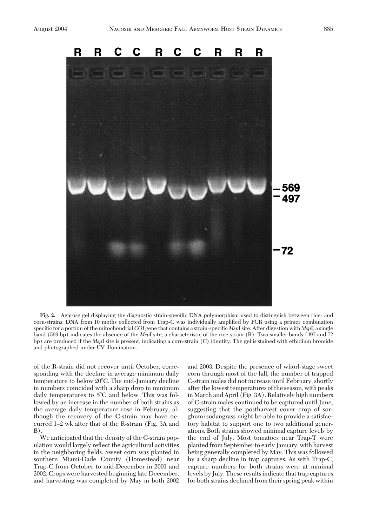

Fig. 2. Agarose gel displaying the diagnostic strain-specific DNA polymorphism used to distinguish between rice- and corn-strains. DNA from 10 moths collected from Trap-C was individually amplified by PCR using a primer combination specific for a portion of the mitochondrial *COI* gene that contains a strain-specific *MspI* site. After digestion with *MspI*, a single band (569 bp) indicatesthe absence of the *Msp*I site, a characteristic of the rice-strain (R). Two smaller bands (497 and 72 bp) are produced if the *Msp*I site is present, indicating a corn-strain (C) identity. The gel is stained with ethidium bromide and photographed under UV illumination.

of the R-strain did not recover until October, corresponding with the decline in average minimum daily temperature to below 20°C. The mid-January decline in numbers coincided with a sharp drop in minimum daily temperatures to  $5^{\circ}$ C and below. This was followed by an increase in the number of both strains as the average daily temperature rose in February, although the recovery of the C-strain may have occurred 1–2 wk after that of the R-strain (Fig. 3A and  $B)$ .

We anticipated that the density of the C-strain population would largely reßect the agricultural activities in the neighboring fields. Sweet corn was planted in southern Miami-Dade County (Homestead) near Trap-C from October to mid-December in 2001 and 2002. Cropswere harvested beginning late December, and harvesting was completed by May in both 2002 and 2003. Despite the presence of whorl-stage sweet corn through most of the fall, the number of trapped C-strain males did not increase until February, shortly after thelowest temperatures of the season, with peaks in March and April (Fig. 3A). Relatively high numbers of C-strain males continued to be captured until June, suggesting that the postharvest cover crop of sorghum/sudangrass might be able to provide a satisfactory habitat to support one to two additional generations. Both strains showed minimal capture levels by the end of July. Most tomatoes near Trap-T were planted from September to early January, with harvest being generally completed by May. This was followed by a sharp decline in trap captures. As with Trap-C, capture numbers for both strains were at minimal levels by July. These results indicate that trap captures for both strains declined from their spring peak within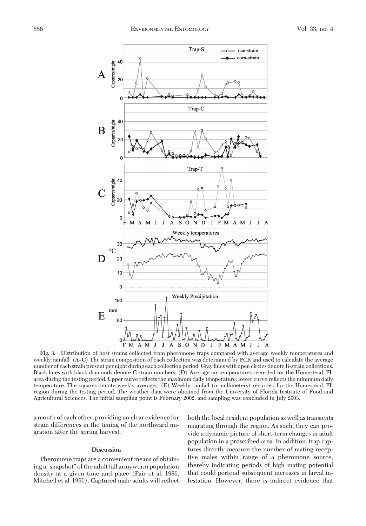

**Fig. 3.** Distribution of host strains collected from pheromone traps compared with average weekly temperatures and weekly rainfall. (A-C) The strain composition of each collection was determined by PCR and used to calculate the average number of each strain present per night during each collection period. Gray lines with open circles denote R-strain collections. Black lines with black diamonds denote C-strain numbers. (D) Average air temperatures recorded for the Homestead, FL area during the testing period. Upper curve reflects the maximum daily temperature; lower curve reflects the minimum daily temperature. The squares denote weekly averages. (E) Weekly rainfall (in millimeters) recorded for the Homestead, FL region during the testing period. The weather data were obtained from the University of Florida Institute of Food and Agricultural Sciences. The initial sampling point is February 2002, and sampling was concluded in July 2003.

a month of each other, providing no clear evidence for strain differences in the timing of the northward migration after the spring harvest.

#### **Discussion**

Pheromone traps are a convenient means of obtaining a "snapshot" of the adult fall armyworm population density at a given time and place (Pair et al. 1986, Mitchell et al. 1991). Captured male adultswill reßect both the local resident population aswell astransients migrating through the region. As such, they can provide a dynamic picture of short-term changes in adult population in a proscribed area. In addition, trap captures directly measure the number of mating-receptive males within range of a pheromone source, thereby indicating periods of high mating potential that could portend subsequent increases in larval infestation. However, there is indirect evidence that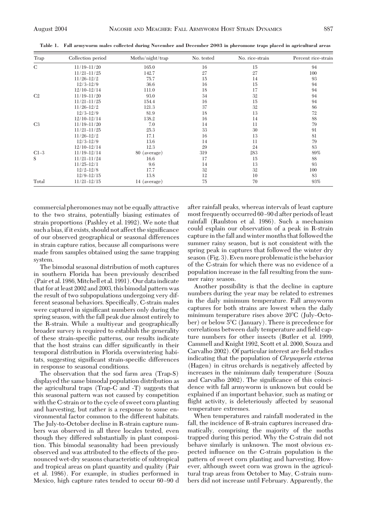| Trap           | Collection period | Moths/night/trap | No. tested | No. rice-strain | Percent rice-strain |
|----------------|-------------------|------------------|------------|-----------------|---------------------|
| C              | $11/19 - 11/20$   | 165.0            | 16         | 15              | 94                  |
|                | $11/21 - 11/25$   | 142.7            | 27         | 27              | 100                 |
|                | $11/26 - 12/2$    | 75.7             | 15         | 14              | 93                  |
|                | $12/3 - 12/9$     | 36.6             | 16         | 15              | 94                  |
|                | $12/10 - 12/14$   | 111.0            | 18         | 17              | 94                  |
| C2             | $11/19 - 11/20$   | 93.0             | 34         | 32              | 94                  |
|                | $11/21 - 11/25$   | 154.4            | 16         | 15              | 94                  |
|                | $11/26 - 12/2$    | 121.3            | 37         | 32              | 86                  |
|                | $12/3 - 12/9$     | 81.9             | 18         | 13              | 72                  |
|                | $12/10 - 12/14$   | 138.2            | 16         | 14              | 88                  |
| C <sub>3</sub> | $11/19 - 11/20$   | 7.0              | 14         | 11              | 79                  |
|                | $11/21 - 11/25$   | 25.3             | 33         | 30              | 91                  |
|                | $11/26 - 12/2$    | 17.1             | 16         | 13              | 81                  |
|                | $12/3 - 12/9$     | 13.6             | 14         | 11              | 79                  |
|                | $12/10 - 12/14$   | 12.3             | 29         | 24              | 83                  |
| $C1-3$         | $11/19 - 12/14$   | 80 (average)     | 319        | 283             | 89%                 |
| S              | $11/21 - 11/24$   | 16.6             | 17         | 15              | 88                  |
|                | $11/25 - 12/1$    | 9.6              | 14         | 13              | 93                  |
|                | $12/2 - 12/8$     | 17.7             | 32         | 32              | 100                 |
|                | $12/9 - 12/15$    | 13.8             | 12         | 10              | 83                  |
| Total          | $11/21 - 12/15$   | 14 (average)     | 75         | 70              | 93%                 |

**Table 1. Fall armyworm males collected during November and December 2003 in pheromone traps placed in agricultural areas**

commercial pheromonesmay not be equally attractive to the two strains, potentially biasing estimates of strain proportions (Pashley et al. 1992). We note that such a bias, if it exists, should not affect the significance of our observed geographical or seasonal differences in strain capture ratios, because all comparisons were made from samples obtained using the same trapping system.

The bimodal seasonal distribution of moth captures in southern Florida has been previously described (Pair et al. 1986,Mitchell et al. 1991). Our dataindicate that for at least 2002 and 2003, this bimodal pattern was the result of two subpopulations undergoing very different seasonal behaviors. Specifically, C-strain males were captured in significant numbers only during the spring season, with the fall peak due almost entirely to the R-strain. While a multiyear and geographically broader survey is required to establish the generality of these strain-specific patterns, our results indicate that the host strains can differ significantly in their temporal distribution in Florida overwintering habitats, suggesting significant strain-specific differences in response to seasonal conditions.

The observation that the sod farm area (Trap-S) displayed the same bimodal population distribution as the agricultural traps (Trap-C and -T) suggests that this seasonal pattern was not caused by competition with the C-strain or to the cycle of sweet corn planting and harvesting, but rather is a response to some environmental factor common to the different habitats. The July-to-October decline in R-strain capture numbers was observed in all three locales tested, even though they differed substantially in plant composition. This bimodal seasonality had been previously observed and was attributed to the effects of the pronounced wet-dry seasons characteristic of subtropical and tropical areas on plant quantity and quality (Pair et al. 1986). For example, in studies performed in Mexico, high capture rates tended to occur 60-90 d after rainfall peaks, whereas intervals of least capture most frequently occurred 60-90 d after periods of least rainfall (Raulston et al. 1986). Such a mechanism could explain our observation of a peak in R-strain capture in the fall and winter months that followed the summer rainy season, but is not consistent with the spring peak in captures that followed the winter dry season (Fig. 3). Even more problematic is the behavior of the C-strain for which there was no evidence of a population increase in the fall resulting from the summer rainy season.

Another possibility is that the decline in capture numbers during the year may be related to extremes in the daily minimum temperature. Fall armyworm captures for both strains are lowest when the daily minimum temperature rises above  $20^{\circ}$ C (July-October) or below 5<sup>o</sup>C (January). There is precedence for correlations between daily temperature and field capture numbers for other insects (Butler et al. 1999, Cammell and Knight 1992, Scott et al. 2000, Souza and Carvalho 2002). Of particular interest are field studies indicating that the population of *Chrysoperla externa* (Hagen) in citrus orchards is negatively affected by increases in the minimum daily temperature (Souza and Carvalho 2002). The significance of this coincidence with fall armyworm is unknown but could be explained if an important behavior, such as mating or flight activity, is deleteriously affected by seasonal temperature extremes.

When temperatures and rainfall moderated in the fall, the incidence of R-strain captures increased dramatically, comprising the majority of the moths trapped during this period. Why the C-strain did not behave similarly is unknown. The most obvious expected inßuence on the C-strain population is the pattern of sweet corn planting and harvesting. However, although sweet corn was grown in the agricultural trap areas from October to May, C-strain numbers did not increase until February. Apparently, the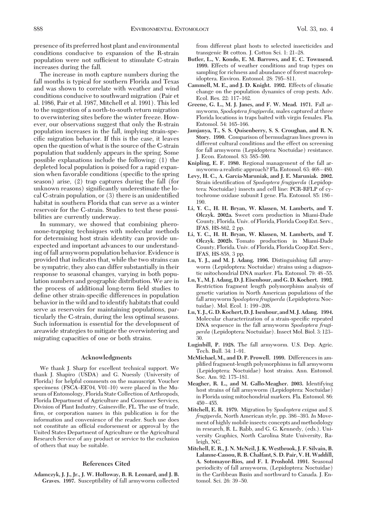presence of its preferred host plant and environmental conditions conducive to expansion of the R-strain population were not sufficient to stimulate C-strain increases during the fall.

The increase in moth capture numbers during the fall months is typical for southern Florida and Texas and was shown to correlate with weather and wind conditions conducive to southward migration (Pair et al. 1986, Pair et al. 1987, Mitchell et al. 1991). Thisled to the suggestion of a north-to-south return migration to overwintering sites before the winter freeze. However, our observations suggest that only the R-strain population increases in the fall, implying strain-specific migration behavior. If this is the case, it leaves open the question of what is the source of the C-strain population that suddenly appears in the spring. Some possible explanations include the following: (1) the depleted local population is poised for a rapid expansion when favorable conditions (specific to the spring season) arise, (2) trap captures during the fall (for unknown reasons) significantly underestimate the local C-strain population, or  $(3)$  there is an unidentified habitat in southern Florida that can serve as a winter reservoir for the C-strain. Studies to test these possibilities are currently underway.

In summary, we showed that combining pheromone-trapping techniques with molecular methods for determining host strain identity can provide unexpected and important advances to our understanding of fall armyworm population behavior. Evidence is provided that indicates that, while the two strains can be sympatric, they also can differ substantially in their response to seasonal changes, varying in both population numbers and geographic distribution. We are in the process of additional long-term field studies to define other strain-specific differences in population behavior in the wild and to identify habitats that could serve as reservoirs for maintaining populations, particularly the C-strain, during the less optimal seasons. Such information is essential for the development of areawide strategies to mitigate the overwintering and migrating capacities of one or both strains.

#### **Acknowledgments**

We thank J. Sharp for excellent technical support. We thank J. Shapiro (USDA) and G. Nuessly (University of Florida) for helpful comments on the manuscript. Voucher specimens (FSCA– $EE'04$ , V01–10) were placed in the Museum of Entomology, Florida State Collection of Arthropods, Florida Department of Agriculture and Consumer Services, Division of Plant Industry, Gainesville, FL. The use of trade, firm, or corporation names in this publication is for the information and convenience of the reader. Such use does not constitute an official endorsement or approval by the United StatesDepartment of Agriculture or the Agricultural Research Service of any product or service to the exclusion of others that may be suitable.

## **References Cited**

**Adamczyk, J. J., Jr., J. W. Holloway, B. R. Leonard, and J. B. Graves. 1997.** Susceptibility of fall armyworm collected from different plant hosts to selected insecticides and transgenic Bt cotton. J. Cotton Sci. 1: 21-28.

- **Butler, L., V. Kondo, E. M. Barrows, and E. C. Townsend.** 1999. Effects of weather conditions and trap types on sampling for richness and abundance of forest macrolepidoptera. Environ. Entomol. 28: 795-811.
- Cammell, M. E., and J. D. Knight. 1992. Effects of climatic change on the population dynamics of crop pests. Adv. Ecol. Res. 22: 117–162.
- **Greene, G. L., M. J. Janes, and F. W. Mead. 1971.** Fall armyworm, *Spodoptera frugiperda*, males captured at three Florida locations in traps baited with virgin females. Fla. Entomol. 54: 165-166.
- **Jamjanya, T., S. S. Quisenberry, S. S. Croughan, and R. N. Story. 1990.** Comparison of bermudagrass lines grown in different cultural conditions and the effect on screening for fall armyworm (Lepidoptera: Noctuidae) resistance. J. Econ. Entomol. 83: 585-590.
- **Knipling, E. F. 1980.** Regional management of the fall armyworm-a realistic approach? Fla. Entomol. 63: 468 - 480.
- **Levy, H. C., A. Garcia-Maruniak, and J. E. Maruniak. 2002.** Strain identification of *Spodoptera frugiperda* (Lepidoptera: Noctuidae) insects and cell line: PCR-RFLP of cytochrome oxidase subunit I gene. Fla. Entomol. 85: 186– 190.
- **Li, Y. C., H. H. Bryan, W. Klassen, M. Lamberts, and T. Olczyk. 2002a.** Sweet corn production in Miami-Dade County, Florida. Univ. of Florida, Florida Coop Ext. Serv., IFAS, HS-862, 2 pp.
- **Li, Y. C., H. H. Bryan, W. Klassen, M. Lamberts, and T. Olczyk. 2002b.** Tomato production in Miami-Dade County, Florida. Univ. of Florida, Florida Coop Ext. Serv., IFAS, HS-858, 3 pp.
- **Lu, Y. J., and M. J. Adang. 1996.** Distinguishing fall armyworm (Lepidoptera: Noctuidae) strains using a diagnostic mitochondrial DNA marker. Fla. Entomol. 79: 48-55.
- **Lu, Y., M. J. Adang, D. J. Eisenhour, and G. D. Kochert. 1992.** Restriction fragment length polymorphism analysis of genetic variation in North American populations of the fall armyworm *Spodoptera frugiperda* (Lepidoptera: Noctuidae). Mol. Ecol. 1: 199-208.
- **Lu, Y. J., G. D. Kochert, D. J. Isenhour, andM. J. Adang. 1994.** Molecular characterization of a strain-specific repeated DNA sequence in the fall armyworm *Spodoptera frugi*perda (Lepidoptera: Noctuidae). Insect Mol. Biol. 3: 123-30.
- **Luginbill, P. 1928.** The fall armyworm. U.S. Dep. Agric. Tech. Bull. 34: 1-91.
- **McMichael, M., and D. P. Prowell. 1999.** Differencesin amplified fragment-length polymorphisms in fall armyworm (Lepidoptera: Noctuidae) host strains. Ann. Entomol. Soc. Am. 92: 175-181.
- **Meagher, R. L., and M. Gallo-Meagher. 2003.** Identifying host strains of fall armyworm (Lepidoptera: Noctuidae) in Florida using mitochondrial markers. Fla. Entomol. 86:  $450 - 455.$
- **Mitchell, E. R. 1979.** Migration by *Spodoptera exigua* and *S. frugiperda,* North American style, pp. 386–393. In Movement of highly mobile insects: concepts and methodology in research, R. L. Rabb, and G. G. Kennedy, (eds.). University Graphics, North Carolina State University, Raleigh, NC.
- **Mitchell, E. R., J. N. McNeil, J. K. Westbrook, J. F. Silvain, B. Lalanne-Cassou, R. B. Chalfant, S. D. Pair, V. H. Waddill, A. Sotomayor-Rios, and F. I. Proshold. 1991.** Seasonal periodicity of fall armyworm, (Lepidoptera: Noctuidae) in the Caribbean Basin and northward to Canada. J. Entomol. Sci. 26: 39-50.